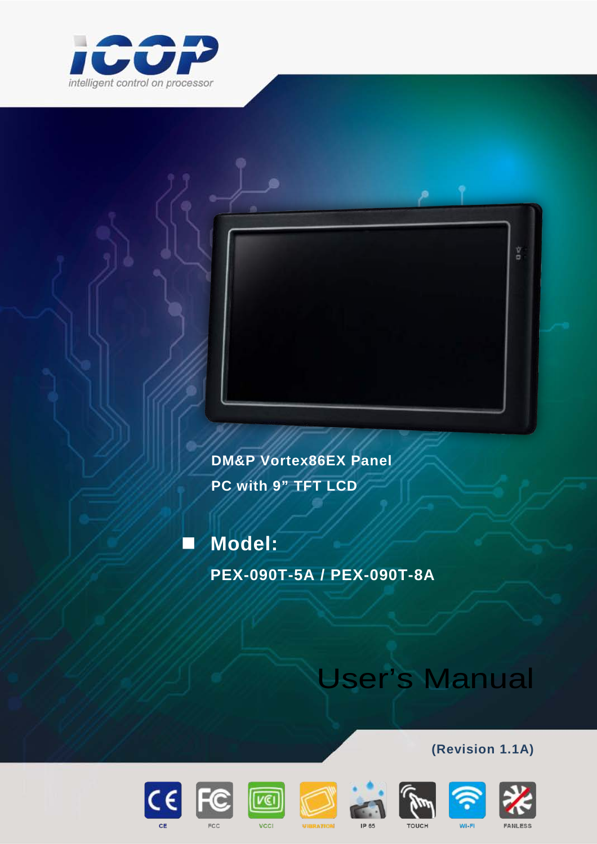

**DM&P Vortex86EX Panel PC with 9" TFT LCD**

 **Model: PEX-090T-5A / PEX-090T-8A**

# User's Manual















**(Revision 1.1A)**

 $\overline{a}$ 

**TOUCH** 

WI-FI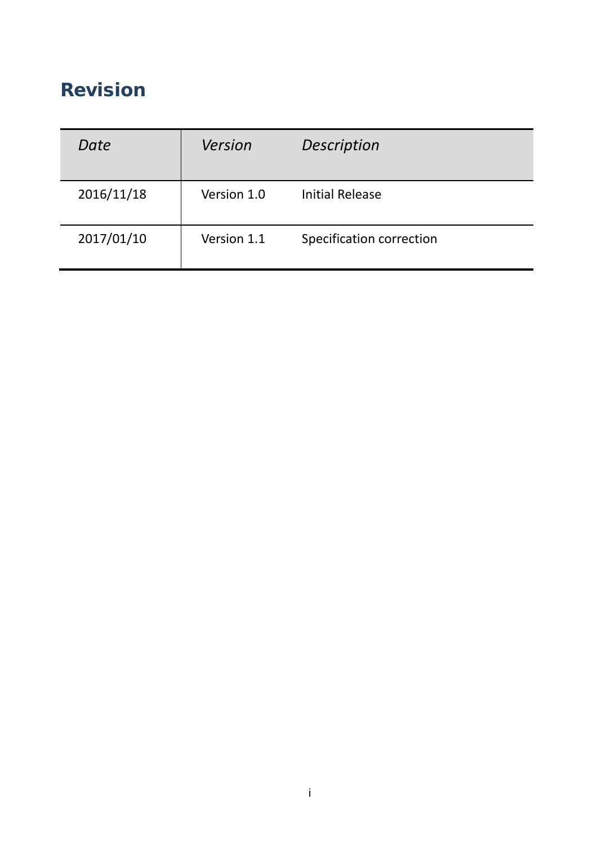# Revision

| Date       | Version     | Description              |  |
|------------|-------------|--------------------------|--|
| 2016/11/18 | Version 1.0 | Initial Release          |  |
| 2017/01/10 | Version 1.1 | Specification correction |  |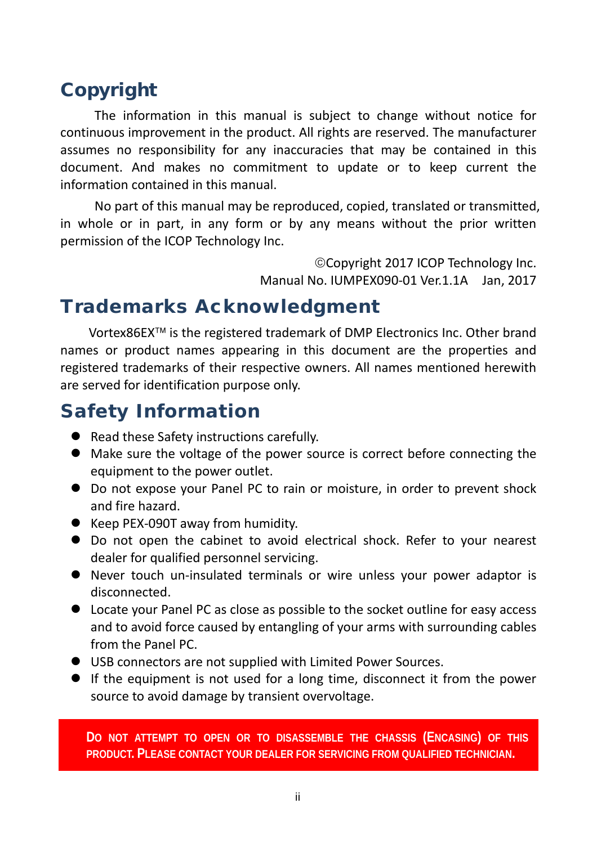# Copyright

The information in this manual is subject to change without notice for continuous improvement in the product. All rights are reserved. The manufacturer assumes no responsibility for any inaccuracies that may be contained in this document. And makes no commitment to update or to keep current the information contained in this manual.

No part of this manual may be reproduced, copied, translated or transmitted, in whole or in part, in any form or by any means without the prior written permission of the ICOP Technology Inc.

> Copyright 2017 ICOP Technology Inc. Manual No. IUMPEX090-01 Ver.1.1A Jan, 2017

#### Trademarks Acknowledgment

Vortex86EX<sup>™</sup> is the registered trademark of DMP Electronics Inc. Other brand names or product names appearing in this document are the properties and registered trademarks of their respective owners. All names mentioned herewith are served for identification purpose only.

# Safety Information

- Read these Safety instructions carefully.
- Make sure the voltage of the power source is correct before connecting the equipment to the power outlet.
- Do not expose your Panel PC to rain or moisture, in order to prevent shock and fire hazard.
- Keep PEX-090T away from humidity.
- Do not open the cabinet to avoid electrical shock. Refer to your nearest dealer for qualified personnel servicing.
- Never touch un-insulated terminals or wire unless your power adaptor is disconnected.
- Locate your Panel PC as close as possible to the socket outline for easy access and to avoid force caused by entangling of your arms with surrounding cables from the Panel PC.
- USB connectors are not supplied with Limited Power Sources.
- If the equipment is not used for a long time, disconnect it from the power source to avoid damage by transient overvoltage.

**DO NOT ATTEMPT TO OPEN OR TO DISASSEMBLE THE CHASSIS (ENCASING) OF THIS PRODUCT. PLEASE CONTACT YOUR DEALER FOR SERVICING FROM QUALIFIED TECHNICIAN.**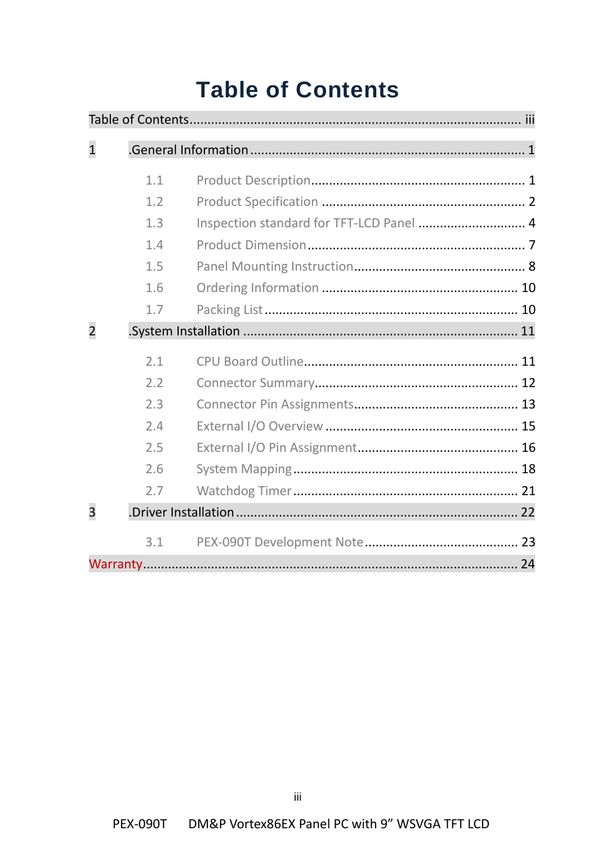# **Table of Contents**

| $\overline{1}$ |     |                                          |
|----------------|-----|------------------------------------------|
|                | 1.1 |                                          |
|                | 1.2 |                                          |
|                | 1.3 | Inspection standard for TFT-LCD Panel  4 |
|                | 1.4 |                                          |
|                | 1.5 |                                          |
|                | 1.6 |                                          |
|                | 1.7 |                                          |
| $\overline{2}$ |     |                                          |
|                | 2.1 |                                          |
|                | 2.2 |                                          |
|                | 2.3 |                                          |
|                | 2.4 |                                          |
|                | 2.5 |                                          |
|                | 2.6 |                                          |
|                | 2.7 |                                          |
| 3              |     |                                          |
|                | 3.1 |                                          |
|                |     |                                          |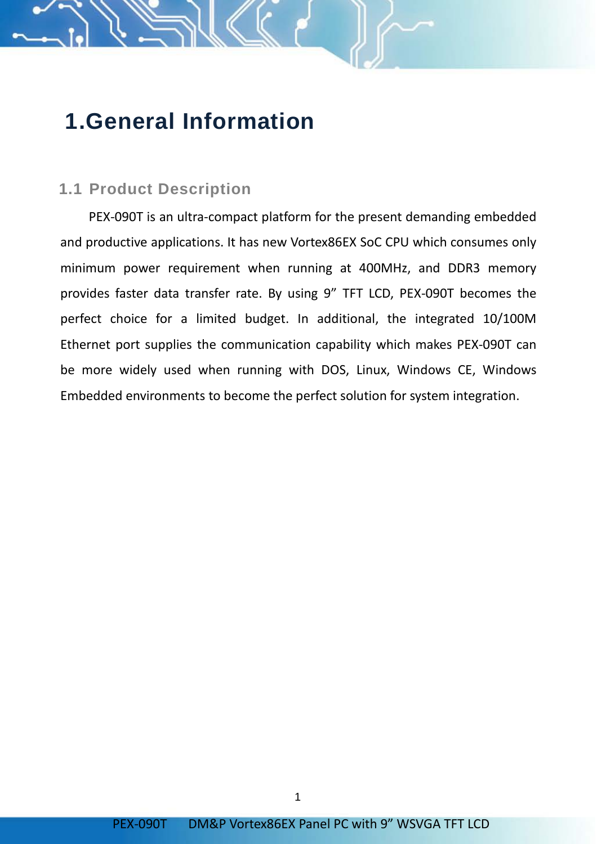# **1.General Information**

#### **1.1 Product Description**

PEX-090T is an ultra-compact platform for the present demanding embedded and productive applications. It has new Vortex86EX SoC CPU which consumes only minimum power requirement when running at 400MHz, and DDR3 memory provides faster data transfer rate. By using 9" TFT LCD, PEX-090T becomes the perfect choice for a limited budget. In additional, the integrated 10/100M Ethernet port supplies the communication capability which makes PEX-090T can be more widely used when running with DOS, Linux, Windows CE, Windows Embedded environments to become the perfect solution for system integration.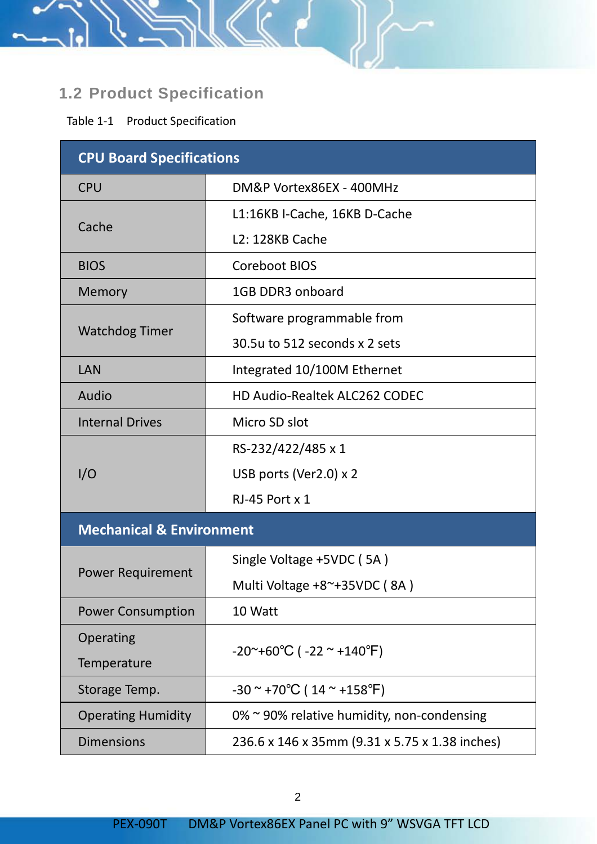# **1.2 Product Specification**

#### Table 1-1 Product Specification

| <b>CPU Board Specifications</b>     |                                                         |  |  |  |
|-------------------------------------|---------------------------------------------------------|--|--|--|
| CPU                                 | DM&P Vortex86EX - 400MHz                                |  |  |  |
| Cache                               | L1:16KB I-Cache, 16KB D-Cache                           |  |  |  |
|                                     | L <sub>2</sub> : 128KB Cache                            |  |  |  |
| <b>BIOS</b>                         | Coreboot BIOS                                           |  |  |  |
| Memory                              | 1GB DDR3 onboard                                        |  |  |  |
|                                     | Software programmable from                              |  |  |  |
| <b>Watchdog Timer</b>               | 30.5u to 512 seconds x 2 sets                           |  |  |  |
| LAN                                 | Integrated 10/100M Ethernet                             |  |  |  |
| Audio                               | HD Audio-Realtek ALC262 CODEC                           |  |  |  |
| <b>Internal Drives</b>              | Micro SD slot                                           |  |  |  |
|                                     | RS-232/422/485 x 1                                      |  |  |  |
| I/O                                 | USB ports (Ver2.0) $\times$ 2                           |  |  |  |
|                                     | <b>RJ-45 Port x 1</b>                                   |  |  |  |
| <b>Mechanical &amp; Environment</b> |                                                         |  |  |  |
|                                     | Single Voltage +5VDC (5A)                               |  |  |  |
| Power Requirement                   | Multi Voltage +8~+35VDC (8A)                            |  |  |  |
| <b>Power Consumption</b>            | 10 Watt                                                 |  |  |  |
| Operating                           |                                                         |  |  |  |
| Temperature                         | $-20^{\circ}+60^{\circ}C$ ( $-22^{\sim}+140^{\circ}F$ ) |  |  |  |
| Storage Temp.                       | $-30$ ~ +70°C (14 ~ +158°F)                             |  |  |  |
| <b>Operating Humidity</b>           | 0% ~ 90% relative humidity, non-condensing              |  |  |  |
| Dimensions                          | 236.6 x 146 x 35mm (9.31 x 5.75 x 1.38 inches)          |  |  |  |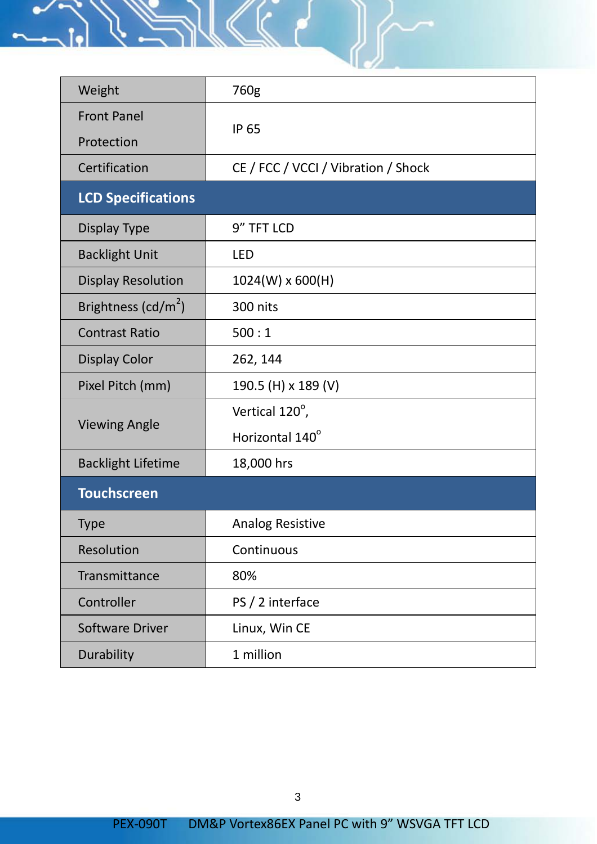

| Weight                          | 760g                                |  |
|---------------------------------|-------------------------------------|--|
| <b>Front Panel</b>              |                                     |  |
| Protection                      | <b>IP 65</b>                        |  |
| Certification                   | CE / FCC / VCCI / Vibration / Shock |  |
| <b>LCD Specifications</b>       |                                     |  |
| Display Type                    | 9" TFT LCD                          |  |
| <b>Backlight Unit</b>           | LED                                 |  |
| <b>Display Resolution</b>       | 1024(W) x 600(H)                    |  |
| Brightness (cd/m <sup>2</sup> ) | 300 nits                            |  |
| <b>Contrast Ratio</b>           | 500:1                               |  |
| <b>Display Color</b>            | 262, 144                            |  |
| Pixel Pitch (mm)                | 190.5 (H) x 189 (V)                 |  |
|                                 | Vertical 120°,                      |  |
| <b>Viewing Angle</b>            | Horizontal 140°                     |  |
| <b>Backlight Lifetime</b>       | 18,000 hrs                          |  |
| <b>Touchscreen</b>              |                                     |  |
| Type                            | Analog Resistive                    |  |
| Resolution                      | Continuous                          |  |
| Transmittance                   | 80%                                 |  |
| Controller                      | PS / 2 interface                    |  |
| Software Driver                 | Linux, Win CE                       |  |
| Durability                      | 1 million                           |  |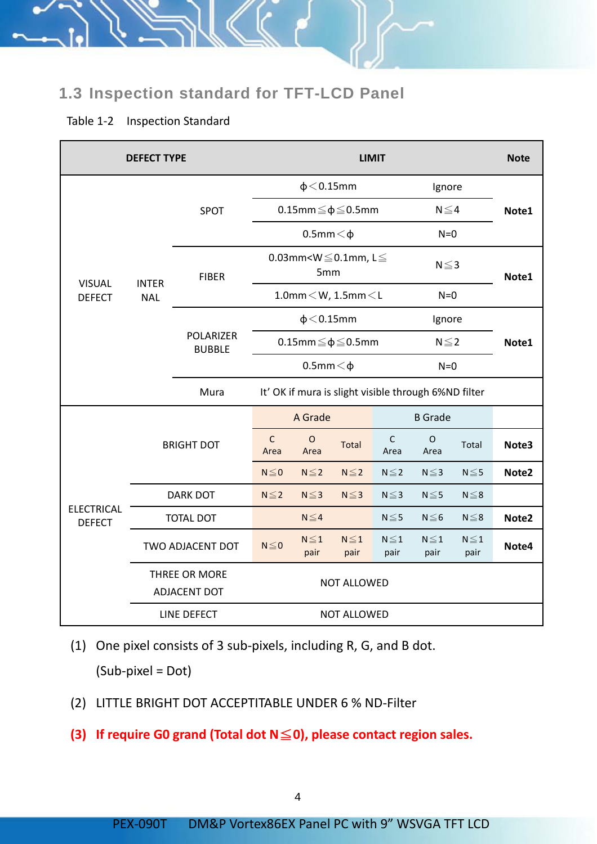

#### **1.3 Inspection standard for TFT-LCD Panel**

#### Table 1-2 Inspection Standard

| <b>DEFECT TYPE</b>                 |                                      | <b>LIMIT</b>                      |                      |                     |                                                       |                                                      |                    | <b>Note</b>        |                   |
|------------------------------------|--------------------------------------|-----------------------------------|----------------------|---------------------|-------------------------------------------------------|------------------------------------------------------|--------------------|--------------------|-------------------|
|                                    |                                      |                                   |                      | $\phi$ < 0.15mm     |                                                       |                                                      | Ignore             |                    |                   |
|                                    |                                      | <b>SPOT</b>                       |                      |                     | $0.15$ mm $\leq \phi \leq 0.5$ mm                     |                                                      | $N \leq 4$         |                    | Note1             |
|                                    |                                      |                                   |                      | $0.5$ mm $<$ $\phi$ |                                                       |                                                      | $N=0$              |                    |                   |
| <b>VISUAL</b>                      | <b>INTER</b>                         | <b>FIBER</b>                      |                      | 5 <sub>mm</sub>     | 0.03mm <w<math>\leq0.1mm, L<math>\leq</math></w<math> |                                                      | $N \leq 3$         |                    | Note1             |
| <b>DEFECT</b>                      | <b>NAL</b>                           |                                   |                      |                     | $1.0$ mm $<$ W, $1.5$ mm $<$ L                        |                                                      | $N=0$              |                    |                   |
|                                    |                                      |                                   |                      | $\phi$ < 0.15mm     |                                                       |                                                      | Ignore             |                    |                   |
|                                    |                                      | <b>POLARIZER</b><br><b>BUBBLE</b> |                      |                     | $0.15$ mm $\leq \phi \leq 0.5$ mm                     |                                                      | $N \leq 2$         |                    | Note1             |
|                                    |                                      |                                   | $0.5$ mm $<$ $\phi$  |                     |                                                       | $N=0$                                                |                    |                    |                   |
|                                    |                                      | Mura                              |                      |                     |                                                       | It' OK if mura is slight visible through 6%ND filter |                    |                    |                   |
|                                    |                                      |                                   |                      | A Grade             |                                                       |                                                      | <b>B</b> Grade     |                    |                   |
|                                    | <b>BRIGHT DOT</b>                    |                                   | $\mathsf{C}$<br>Area | $\circ$<br>Area     | Total                                                 | C<br>Area                                            | O<br>Area          | Total              | Note3             |
|                                    |                                      |                                   | $N \leq 0$           | $N \leq 2$          | $N \leq 2$                                            | $N \leq 2$                                           | $N \leq 3$         | $N \leq 5$         | Note <sub>2</sub> |
|                                    | <b>DARK DOT</b>                      |                                   | $N \leq 2$           | $N \leq 3$          | $N \leq 3$                                            | $N \leq 3$                                           | $N \leq 5$         | $N \leq 8$         |                   |
| <b>ELECTRICAL</b><br><b>DEFECT</b> |                                      | <b>TOTAL DOT</b>                  |                      | $N \leq 4$          |                                                       | $N \leq 5$                                           | $N \leq 6$         | $N \leq 8$         | Note2             |
|                                    |                                      | <b>TWO ADJACENT DOT</b>           | $N \leq 0$           | $N \leq 1$<br>pair  | $N \leq 1$<br>pair                                    | $N \leq 1$<br>pair                                   | $N \leq 1$<br>pair | $N \leq 1$<br>pair | Note4             |
|                                    | THREE OR MORE<br><b>ADJACENT DOT</b> |                                   | <b>NOT ALLOWED</b>   |                     |                                                       |                                                      |                    |                    |                   |
| LINE DEFECT                        |                                      |                                   |                      | <b>NOT ALLOWED</b>  |                                                       |                                                      |                    |                    |                   |

(1) One pixel consists of 3 sub-pixels, including R, G, and B dot.

(Sub-pixel = Dot)

- (2) LITTLE BRIGHT DOT ACCEPTITABLE UNDER 6 % ND-Filter
- **(3) If require G0 grand (Total dot N**≦**0), please contact region sales.**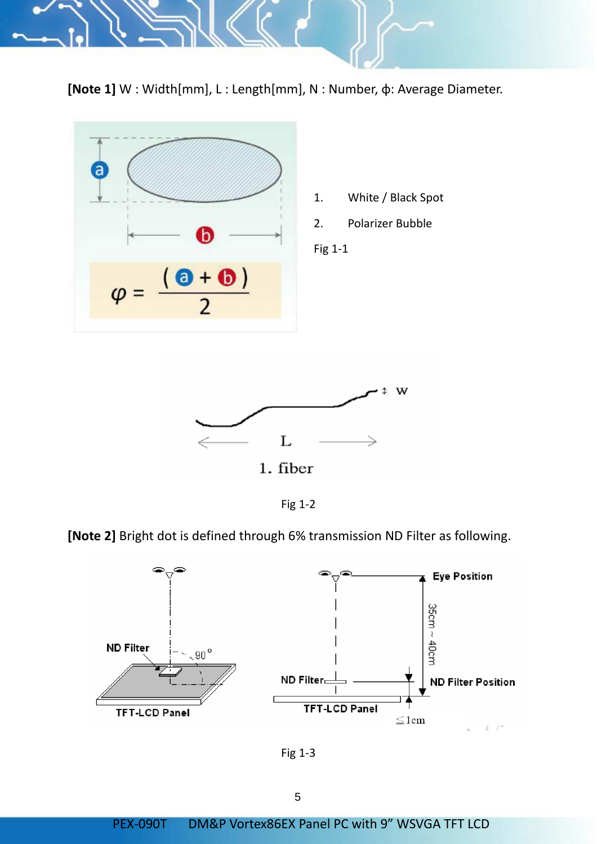

**[Note 1]** W : Width[mm], L : Length[mm], N : Number, φ: Average Diameter.



Fig 1-2

**[Note 2]** Bright dot is defined through 6% transmission ND Filter as following.



Fig 1-3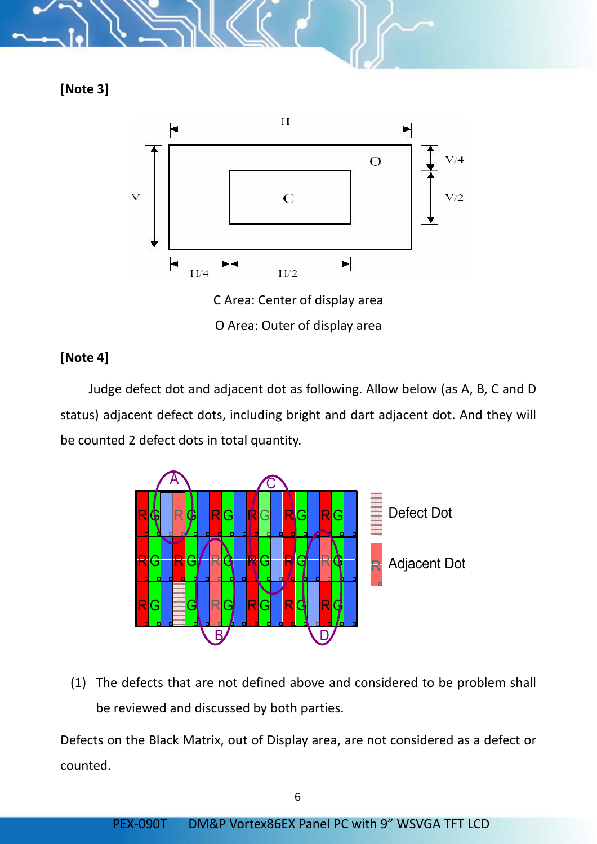

**[Note 3]**



#### **[Note 4]**

Judge defect dot and adjacent dot as following. Allow below (as A, B, C and D status) adjacent defect dots, including bright and dart adjacent dot. And they will be counted 2 defect dots in total quantity.



(1) The defects that are not defined above and considered to be problem shall be reviewed and discussed by both parties.

Defects on the Black Matrix, out of Display area, are not considered as a defect or counted.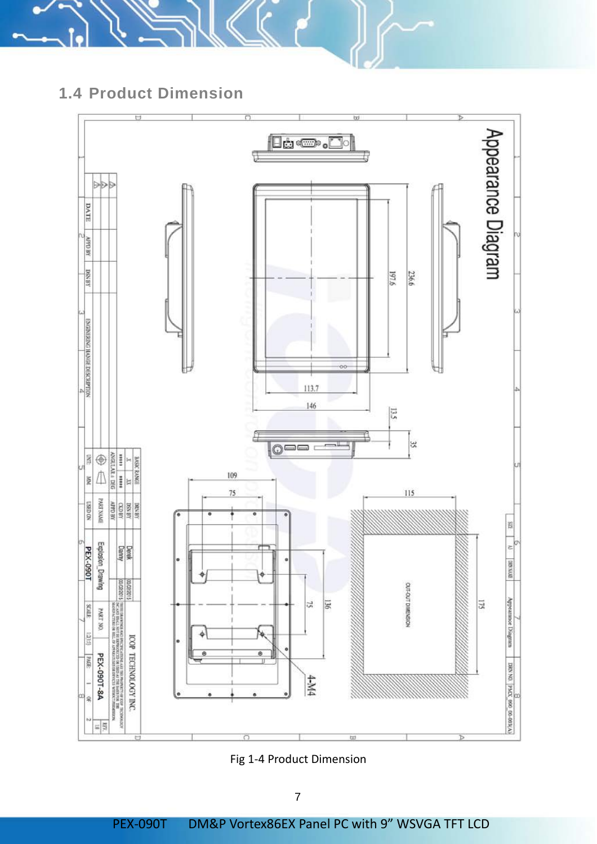

#### **1.4 Product Dimension**



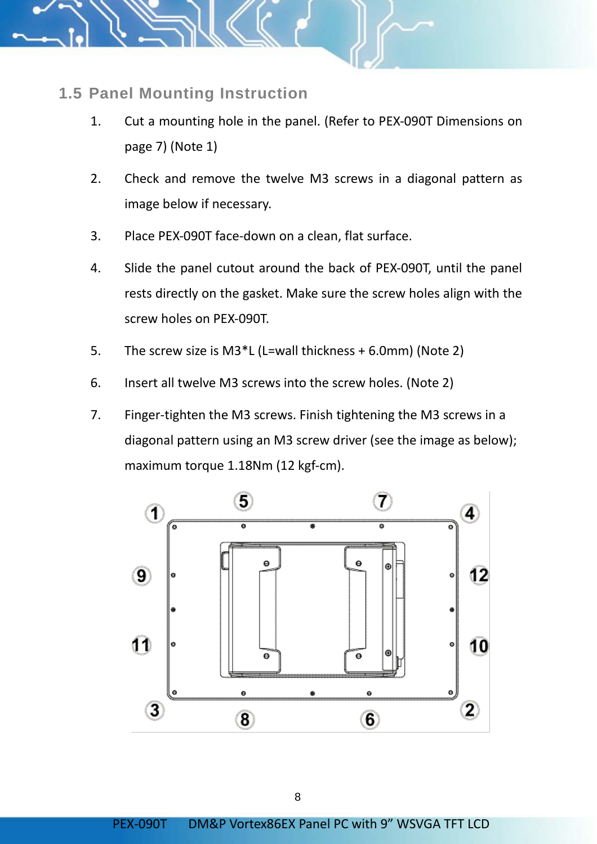

#### **1.5 Panel Mounting Instruction**

- 1. Cut a mounting hole in the panel. (Refer to PEX-090T Dimensions on page 7) (Note 1)
- 2. Check and remove the twelve M3 screws in a diagonal pattern as image below if necessary.
- 3. Place PEX-090T face-down on a clean, flat surface.
- 4. Slide the panel cutout around the back of PEX-090T, until the panel rests directly on the gasket. Make sure the screw holes align with the screw holes on PEX-090T.
- 5. The screw size is M3\*L (L=wall thickness + 6.0mm) (Note 2)
- 6. Insert all twelve M3 screws into the screw holes. (Note 2)
- 7. Finger-tighten the M3 screws. Finish tightening the M3 screws in a diagonal pattern using an M3 screw driver (see the image as below); maximum torque 1.18Nm (12 kgf-cm).

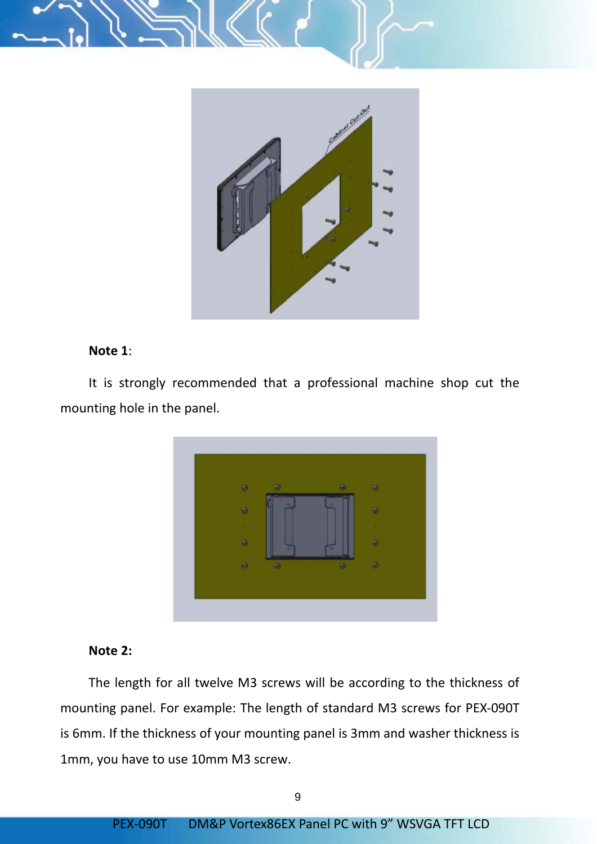



#### **Note 1**:

It is strongly recommended that a professional machine shop cut the mounting hole in the panel.



#### **Note 2:**

The length for all twelve M3 screws will be according to the thickness of mounting panel. For example: The length of standard M3 screws for PEX-090T is 6mm. If the thickness of your mounting panel is 3mm and washer thickness is 1mm, you have to use 10mm M3 screw.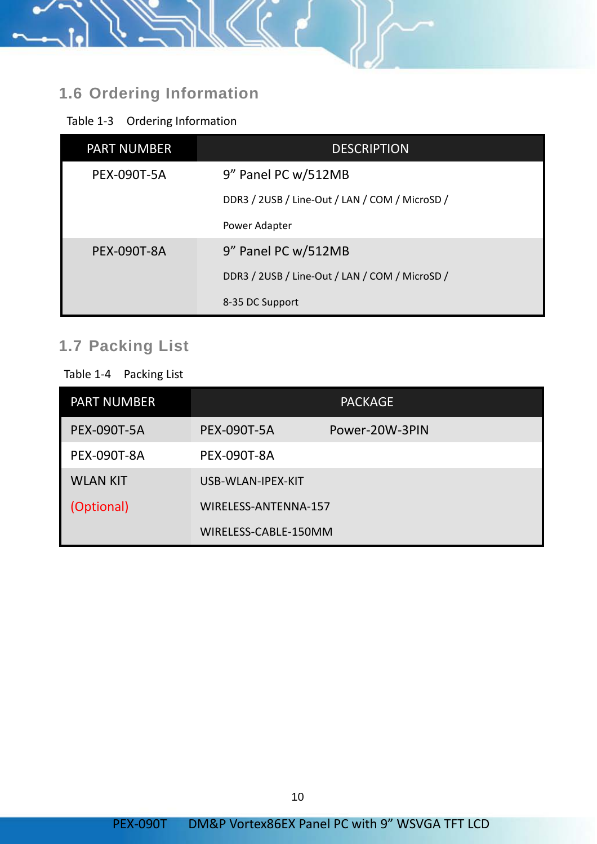

#### **1.6 Ordering Information**

Table 1-3 Ordering Information

| <b>PART NUMBER</b> | <b>DESCRIPTION</b>                             |  |  |  |
|--------------------|------------------------------------------------|--|--|--|
| PEX-090T-5A        | 9" Panel PC w/512MB                            |  |  |  |
|                    | DDR3 / 2USB / Line-Out / LAN / COM / MicroSD / |  |  |  |
|                    | Power Adapter                                  |  |  |  |
| PEX-090T-8A        | 9" Panel PC w/512MB                            |  |  |  |
|                    | DDR3 / 2USB / Line-Out / LAN / COM / MicroSD / |  |  |  |
|                    | 8-35 DC Support                                |  |  |  |

#### **1.7 Packing List**

Table 1-4 Packing List

| <b>PART NUMBER</b> |                      | <b>PACKAGE</b> |  |
|--------------------|----------------------|----------------|--|
| PEX-090T-5A        | PEX-090T-5A          | Power-20W-3PIN |  |
| PEX-090T-8A        | PEX-090T-8A          |                |  |
| <b>WLAN KIT</b>    | USB-WLAN-IPEX-KIT    |                |  |
| (Optional)         | WIRELESS-ANTENNA-157 |                |  |
|                    | WIRELESS-CABLE-150MM |                |  |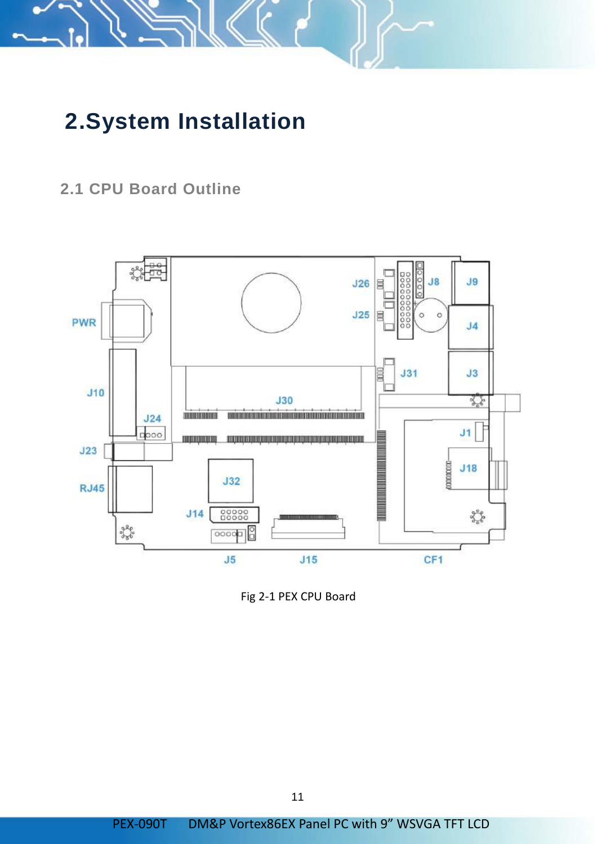

# **2.System Installation**

**2.1 CPU Board Outline**



Fig 2-1 PEX CPU Board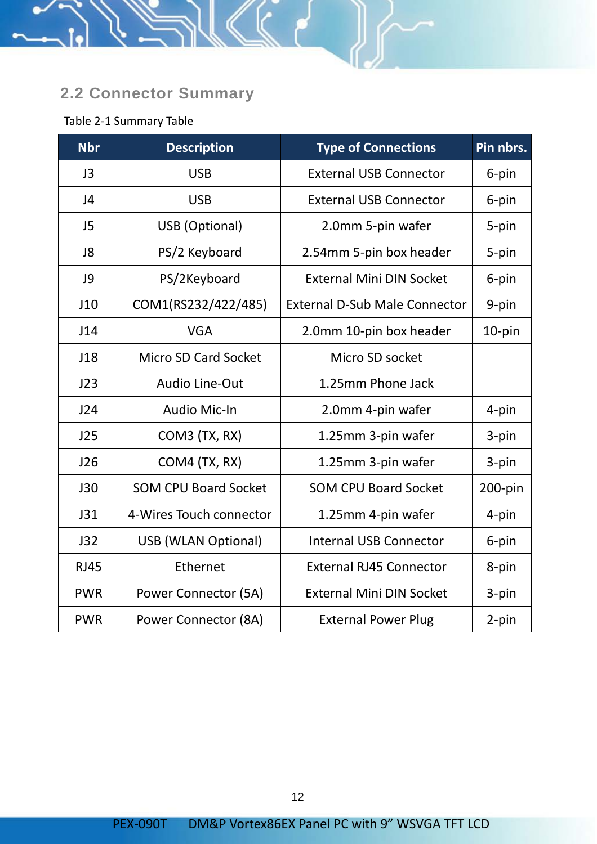#### **2.2 Connector Summary**

#### Table 2-1 Summary Table

| <b>Nbr</b>  | <b>Description</b>          | <b>Type of Connections</b>           | Pin nbrs. |
|-------------|-----------------------------|--------------------------------------|-----------|
| J3          | <b>USB</b>                  | <b>External USB Connector</b>        | 6-pin     |
| J4          | <b>USB</b>                  | <b>External USB Connector</b>        | 6-pin     |
| J5          | USB (Optional)              | 2.0mm 5-pin wafer                    | 5-pin     |
| J8          | PS/2 Keyboard               | 2.54mm 5-pin box header              | 5-pin     |
| J9          | PS/2Keyboard                | <b>External Mini DIN Socket</b>      | 6-pin     |
| J10         | COM1(RS232/422/485)         | <b>External D-Sub Male Connector</b> | 9-pin     |
| J14         | <b>VGA</b>                  | 2.0mm 10-pin box header              | 10-pin    |
| J18         | Micro SD Card Socket        | Micro SD socket                      |           |
| J23         | Audio Line-Out              | 1.25mm Phone Jack                    |           |
| J24         | Audio Mic-In                | 2.0mm 4-pin wafer                    | 4-pin     |
| J25         | COM3 (TX, RX)               | 1.25mm 3-pin wafer                   | 3-pin     |
| J26         | COM4 (TX, RX)               | 1.25mm 3-pin wafer                   | 3-pin     |
| <b>J30</b>  | <b>SOM CPU Board Socket</b> | <b>SOM CPU Board Socket</b>          | 200-pin   |
| J31         | 4-Wires Touch connector     | 1.25mm 4-pin wafer                   | 4-pin     |
| J32         | USB (WLAN Optional)         | Internal USB Connector               | 6-pin     |
| <b>RJ45</b> | Ethernet                    | <b>External RJ45 Connector</b>       | 8-pin     |
| <b>PWR</b>  | Power Connector (5A)        | <b>External Mini DIN Socket</b>      | 3-pin     |
| <b>PWR</b>  | Power Connector (8A)        | <b>External Power Plug</b>           | 2-pin     |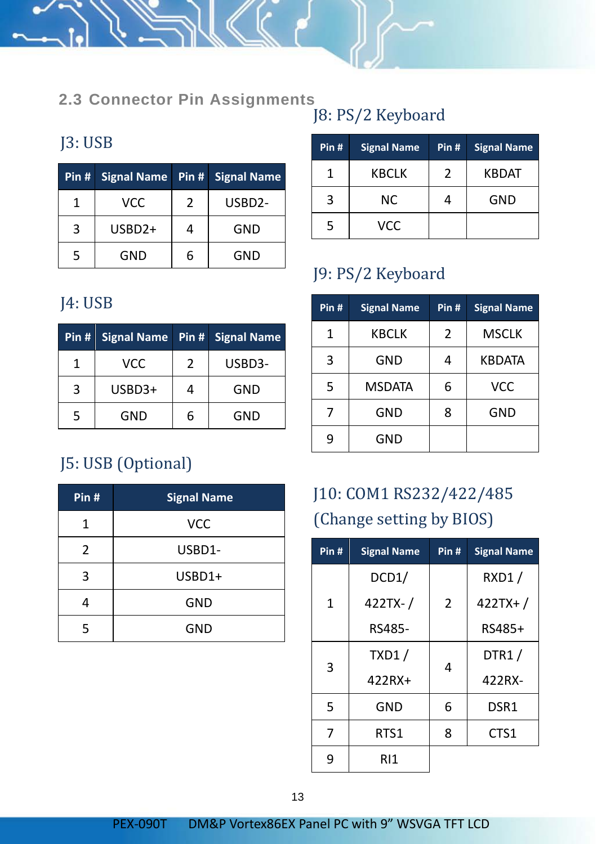#### **2.3 Connector Pin Assignments**

#### J3: USB

| Pin# |          |               | Signal Name Pin # Signal Name |
|------|----------|---------------|-------------------------------|
| 1    | VCC      | $\mathcal{P}$ | USBD2-                        |
| 3    | $USBD2+$ |               | GND                           |
| 5    | GND      | 6             | GND                           |

### J4: USB

| Pin# | Signal Name Pin # |   | <b>Signal Name</b> |
|------|-------------------|---|--------------------|
| 1    | VCC               | 2 | USBD3-             |
| 3    | USBD3+            |   | GND                |
| 5    | GND               | 6 | GND                |

# J5: USB (Optional)

| Pin# | <b>Signal Name</b> |  |  |  |
|------|--------------------|--|--|--|
| 1    | <b>VCC</b>         |  |  |  |
| 2    | USBD1-             |  |  |  |
| 3    | USBD1+             |  |  |  |
|      | <b>GND</b>         |  |  |  |
| 5    | <b>GND</b>         |  |  |  |

# J8: PS/2 Keyboard

| Pin# | <b>Signal Name</b> | Pin#          | <b>Signal Name</b> |
|------|--------------------|---------------|--------------------|
| 1    | <b>KBCLK</b>       | $\mathcal{P}$ | <b>KBDAT</b>       |
| 3    | ΝC                 |               | GND                |
| 5    | VCC                |               |                    |

#### J9: PS/2 Keyboard

| Pin# | <b>Signal Name</b> | Pin#           | <b>Signal Name</b> |
|------|--------------------|----------------|--------------------|
| 1    | <b>KBCLK</b>       | $\overline{2}$ | <b>MSCLK</b>       |
| 3    | GND                |                | <b>KBDATA</b>      |
| 5    | <b>MSDATA</b>      | 6              | <b>VCC</b>         |
|      | GND                | 8              | <b>GND</b>         |
| 9    | GND                |                |                    |

# J10: COM1 RS232/422/485 (Change setting by BIOS)

| Pin#         | <b>Signal Name</b> | Pin#           | <b>Signal Name</b> |
|--------------|--------------------|----------------|--------------------|
|              | DCD1/              |                | RXD1/              |
| $\mathbf{1}$ | $422TX - /$        | $\overline{2}$ | $422TX+ /$         |
|              | RS485-             |                | RS485+             |
| 3            | TXD1/              | 4              | DTR1/              |
|              | $422RR+$           |                | 422RX-             |
| 5            | GND                | 6              | DSR1               |
| 7            | RTS1               | 8              | CTS1               |
| 9            | RI1                |                |                    |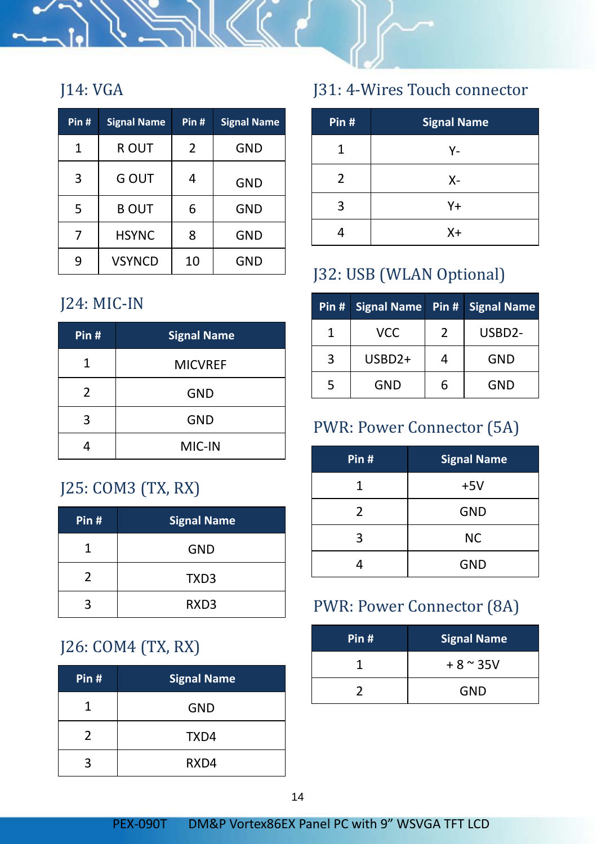#### J14: VGA

| Pin# | <b>Signal Name</b> | Pin# | <b>Signal Name</b> |
|------|--------------------|------|--------------------|
| 1    | R OUT              | 2    | GND                |
| 3    | G OUT              | 4    | GND                |
| 5    | <b>B OUT</b>       | 6    | GND                |
| 7    | <b>HSYNC</b>       | 8    | GND                |
| 9    | <b>VSYNCD</b>      | 10   | GND                |

# J24: MIC-IN

| Pin#          | <b>Signal Name</b> |
|---------------|--------------------|
| 1             | <b>MICVREF</b>     |
| $\mathfrak z$ | GND                |
| ς             | GND                |
|               | MIC-IN             |

#### J25: COM3 (TX, RX)

| Pin# | <b>Signal Name</b> |
|------|--------------------|
|      | GND                |
| 2    | TXD3               |
| ર    | RXD3               |

#### J26: COM4 (TX, RX)

| Pin#          | <b>Signal Name</b> |
|---------------|--------------------|
|               | GND                |
| $\mathcal{P}$ | TXD4               |
|               | RXD4               |

#### J31: 4-Wires Touch connector

| Pin # | <b>Signal Name</b> |
|-------|--------------------|
|       | Υ-                 |
| 2     | Х-                 |
| 3     | Y+                 |
|       | $X +$              |

#### J32: USB (WLAN Optional)

| Pin# | Signal Name Pin # |               | <b>Signal Name</b>  |
|------|-------------------|---------------|---------------------|
|      | VCC               | $\mathcal{P}$ | USBD <sub>2</sub> - |
| 3    | $USBD2+$          | 4             | GND                 |
| 5    | GND               | 6             | GND                 |

# PWR: Power Connector (5A)

| Pin#          | <b>Signal Name</b> |
|---------------|--------------------|
|               | $+5V$              |
| $\mathcal{P}$ | <b>GND</b>         |
| ર             | NC.                |
|               | <b>GND</b>         |

### PWR: Power Connector (8A)

| Pin# | <b>Signal Name</b> |
|------|--------------------|
|      | $+8$ $\approx$ 35V |
|      | GND                |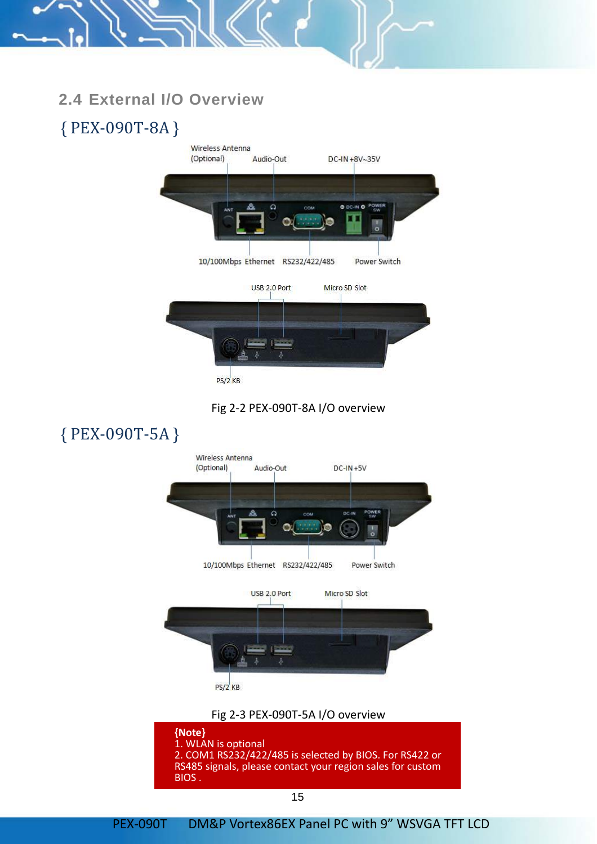### **2.4 External I/O Overview**

#### { PEX-090T-8A }



Fig 2-2 PEX-090T-8A I/O overview

#### { PEX-090T-5A } Wireless Antenna (Optional) Audio-Out  $DC-IN + 5V$ ö м cost O.  $\bullet$ 10/100Mbps Ethernet RS232/422/485 Power Switch Micro SD Slot USB 2.0 Port PS/2 KB Fig 2-3 PEX-090T-5A I/O overview **{Note}** 1. WLAN is optional 2. COM1 RS232/422/485 is selected by BIOS. For RS422 or RS485 signals, please contact your region sales for custom BIOS .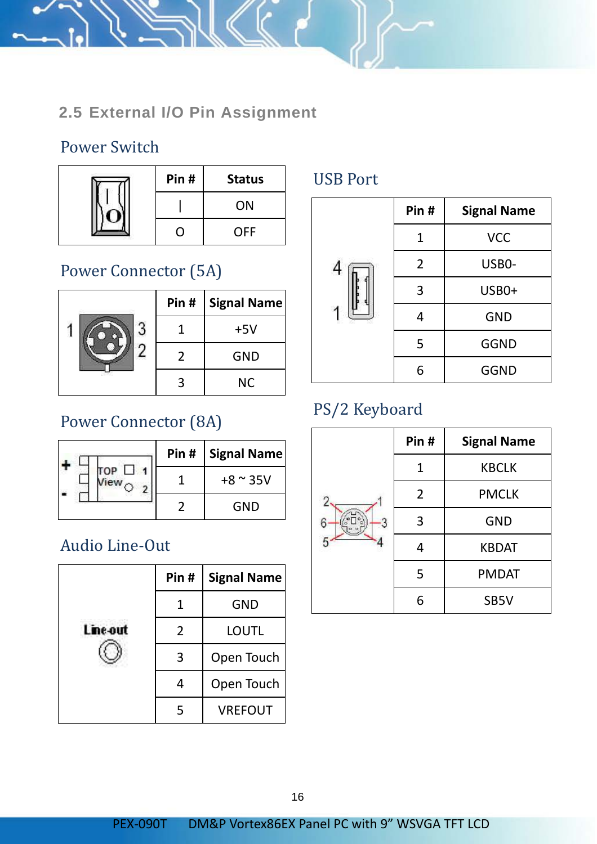### **2.5 External I/O Pin Assignment**

#### Power Switch

| Pin# | <b>Status</b> |
|------|---------------|
|      | <b>ON</b>     |
|      | <b>OFF</b>    |

### Power Connector (5A)

|   | Pin #   Signal Name |
|---|---------------------|
|   | $+5V$               |
| 2 | GND                 |
| 2 | ΝC                  |

# Power Connector (8A)

|            | Pin #   Signal Name |
|------------|---------------------|
| TOP $\Box$ | $+8 \approx 35V$    |
|            | GND                 |

### Audio Line-Out

|                 | Pin# | <b>Signal Name</b> |
|-----------------|------|--------------------|
| <b>Line-out</b> |      | GND                |
|                 | 2    | LOUTL              |
|                 | 3    | Open Touch         |
|                 |      | Open Touch         |
|                 | 5    | <b>VREFOUT</b>     |

#### USB Port



# PS/2 Keyboard

|                | Pin# | <b>Signal Name</b> |  |
|----------------|------|--------------------|--|
|                | 1    | <b>KBCLK</b>       |  |
| $\overline{c}$ | 2    | <b>PMCLK</b>       |  |
|                | 3    | <b>GND</b>         |  |
|                |      | <b>KBDAT</b>       |  |
|                | 5    | <b>PMDAT</b>       |  |
|                | հ    | SB5V               |  |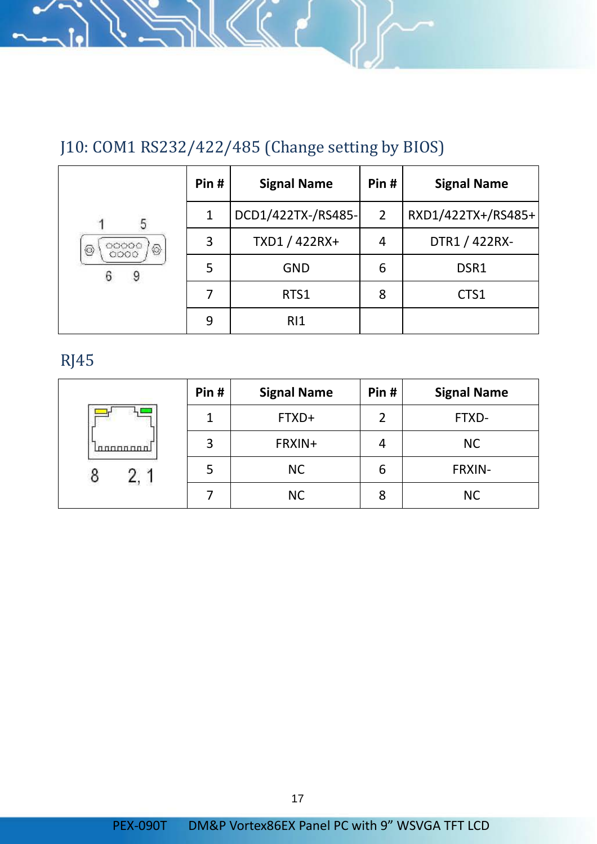# J10: COM1 RS232/422/485 (Change setting by BIOS)

|                         | Pin# | <b>Signal Name</b> | Pin# | <b>Signal Name</b> |
|-------------------------|------|--------------------|------|--------------------|
|                         | 1    | DCD1/422TX-/RS485- | 2    | RXD1/422TX+/RS485+ |
| 00000<br>◈<br>€<br>adoo | 3    | TXD1 / 422RX+      | 4    | DTR1 / 422RX-      |
|                         | 5    | GND                | 6    | DSR1               |
|                         |      | RTS1               | 8    | CTS1               |
|                         | 9    | <b>RI1</b>         |      |                    |

### RJ45

|              | Pin# | <b>Signal Name</b> | Pin# | <b>Signal Name</b> |
|--------------|------|--------------------|------|--------------------|
|              |      | FTXD+              |      | FTXD-              |
| $\ln$ nnnnnn | 3    | FRXIN+             | 4    | NC.                |
|              |      | <b>NC</b>          | 6    | FRXIN-             |
|              |      | <b>NC</b>          | 8    | <b>NC</b>          |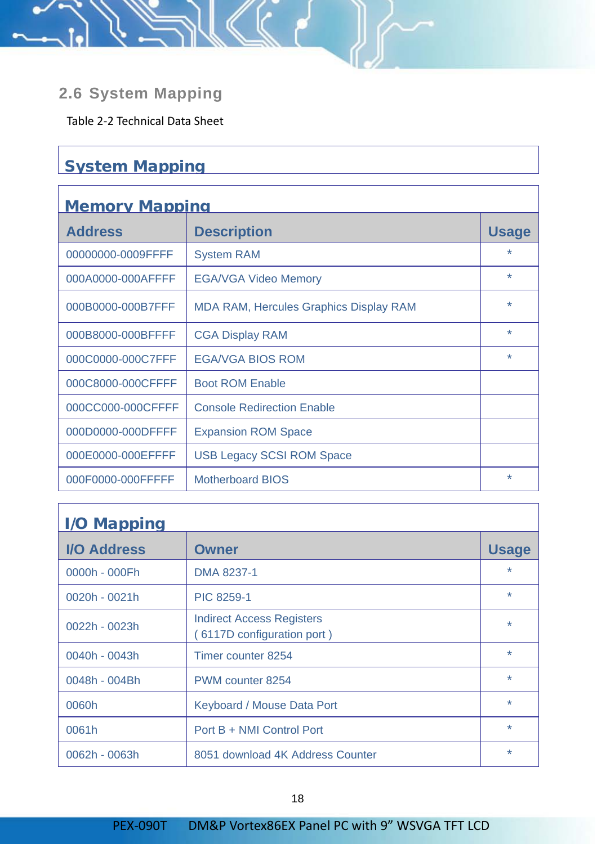#### **2.6 System Mapping**

Table 2-2 Technical Data Sheet

#### **System Mapping**

'n

| <b>Memory Mapping</b> |                                               |              |  |  |
|-----------------------|-----------------------------------------------|--------------|--|--|
| <b>Address</b>        | <b>Description</b>                            | <b>Usage</b> |  |  |
| 00000000-0009FFFF     | <b>System RAM</b>                             |              |  |  |
| 000A0000-000AFFFF     | <b>EGA/VGA Video Memory</b>                   | $\star$      |  |  |
| 000B0000-000B7FFF     | <b>MDA RAM, Hercules Graphics Display RAM</b> | $\star$      |  |  |
| 000B8000-000BFFFF     | <b>CGA Display RAM</b>                        | $\star$      |  |  |
| 000C0000-000C7FFF     | <b>EGA/VGA BIOS ROM</b>                       | $\star$      |  |  |
| 000C8000-000CFFFF     | <b>Boot ROM Enable</b>                        |              |  |  |
| 000CC000-000CFFFF     | <b>Console Redirection Enable</b>             |              |  |  |
| 000D0000-000DFFFF     | <b>Expansion ROM Space</b>                    |              |  |  |
| 000E0000-000EFFFF     | <b>USB Legacy SCSI ROM Space</b>              |              |  |  |
| 000F0000-000FFFFF     | <b>Motherboard BIOS</b>                       |              |  |  |

| <b>I/O Mapping</b> |                                                               |              |  |
|--------------------|---------------------------------------------------------------|--------------|--|
| <b>I/O Address</b> | Owner                                                         | <b>Usage</b> |  |
| 0000h - 000Fh      | DMA 8237-1                                                    | $\star$      |  |
| 0020h - 0021h      | PIC 8259-1                                                    | $\star$      |  |
| 0022h - 0023h      | <b>Indirect Access Registers</b><br>6117D configuration port) | $\star$      |  |
| 0040h - 0043h      | Timer counter 8254                                            | $\star$      |  |
| 0048h - 004Bh      | PWM counter 8254                                              | $\star$      |  |
| 0060h              | Keyboard / Mouse Data Port                                    | $\star$      |  |
| 0061h              | Port B + NMI Control Port                                     | $\star$      |  |
| 0062h - 0063h      | 8051 download 4K Address Counter                              | $\star$      |  |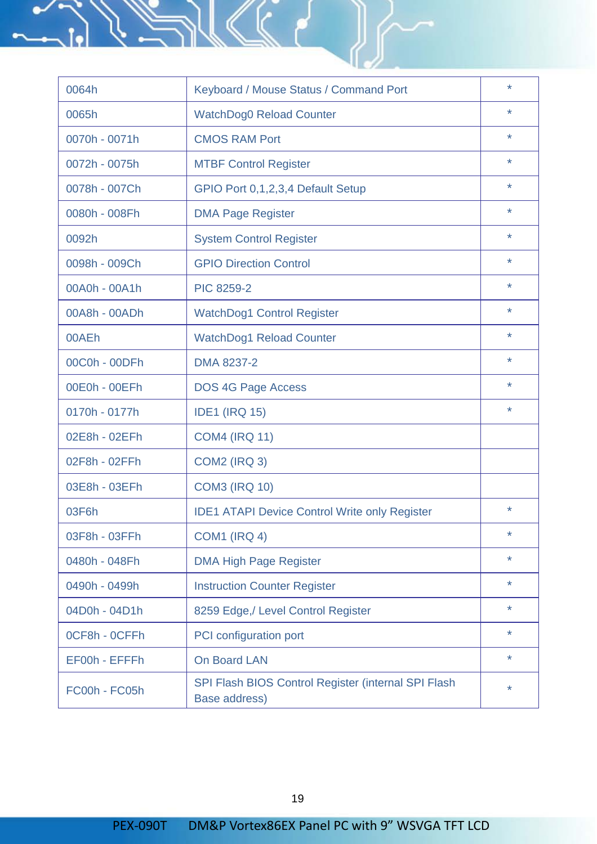|                                           |                                                      | $\star$ |
|-------------------------------------------|------------------------------------------------------|---------|
| 0064h                                     | Keyboard / Mouse Status / Command Port               |         |
| 0065h                                     | WatchDog0 Reload Counter                             | ÷       |
| 0070h - 0071h<br><b>CMOS RAM Port</b>     |                                                      | $\star$ |
| 0072h - 0075h                             | <b>MTBF Control Register</b>                         |         |
| 0078h - 007Ch                             | GPIO Port 0,1,2,3,4 Default Setup                    | $\star$ |
| 0080h - 008Fh<br><b>DMA Page Register</b> |                                                      | ÷       |
| 0092h                                     | <b>System Control Register</b>                       | $\star$ |
| 0098h - 009Ch                             | <b>GPIO Direction Control</b>                        | $\star$ |
| 00A0h - 00A1h<br>PIC 8259-2               |                                                      | $\star$ |
| 00A8h - 00ADh                             | WatchDog1 Control Register                           | $\star$ |
| 00AEh                                     | WatchDog1 Reload Counter                             | $\star$ |
| 00C0h - 00DFh<br>DMA 8237-2               |                                                      | $\star$ |
| 00E0h - 00EFh<br>DOS 4G Page Access       |                                                      |         |
| 0170h - 0177h<br><b>IDE1 (IRQ 15)</b>     |                                                      | ÷       |
| 02E8h - 02EFh<br><b>COM4 (IRQ 11)</b>     |                                                      |         |
| 02F8h - 02FFh<br><b>COM2 (IRQ 3)</b>      |                                                      |         |
| 03E8h - 03EFh<br><b>COM3 (IRQ 10)</b>     |                                                      |         |
| 03F6h                                     | <b>IDE1 ATAPI Device Control Write only Register</b> | $\star$ |
| <b>COM1 (IRQ 4)</b><br>03F8h - 03FFh      |                                                      | $\star$ |
| 0480h - 048Fh                             | <b>DMA High Page Register</b>                        | $\star$ |
| 0490h - 0499h                             | <b>Instruction Counter Register</b>                  | $\star$ |
| 04D0h - 04D1h                             | 8259 Edge,/ Level Control Register                   | $\star$ |
| OCF8h - OCFFh<br>PCI configuration port   |                                                      | $\star$ |
| EF00h - EFFFh<br>On Board LAN             |                                                      | $\star$ |
| FC00h - FC05h<br>Base address)            | SPI Flash BIOS Control Register (internal SPI Flash  |         |

 $\ell$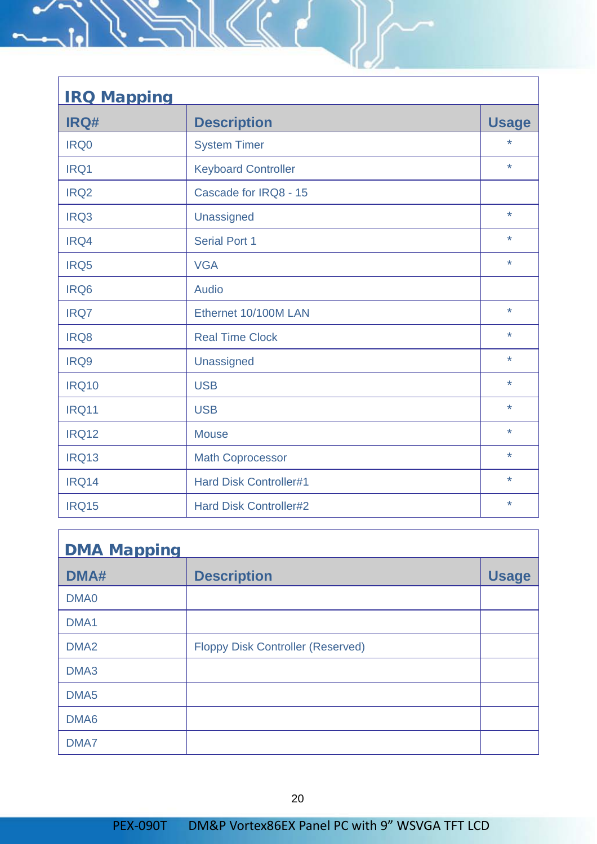

 $\ll \epsilon$  d

 $\sim$ 

| <b>DMA Mapping</b> |                                          |              |  |
|--------------------|------------------------------------------|--------------|--|
| DMA#               | <b>Description</b>                       | <b>Usage</b> |  |
| DMA0               |                                          |              |  |
| DMA <sub>1</sub>   |                                          |              |  |
| DMA <sub>2</sub>   | <b>Floppy Disk Controller (Reserved)</b> |              |  |
| DMA <sub>3</sub>   |                                          |              |  |
| DMA <sub>5</sub>   |                                          |              |  |
| DMA <sub>6</sub>   |                                          |              |  |
| DMA7               |                                          |              |  |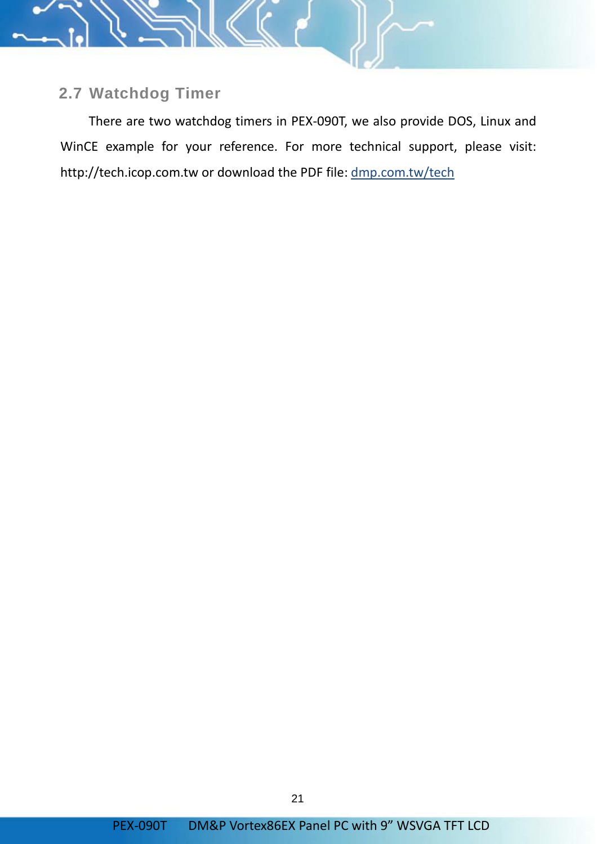

#### **2.7 Watchdog Timer**

There are two watchdog timers in PEX-090T, we also provide DOS, Linux and WinCE example for your reference. For more technical support, please visit: [http://tech.icop.com.tw](http://tech.icop.com.tw/) or download the PDF file[: dmp.com.tw/tech](http://www.dmp.com.tw/tech)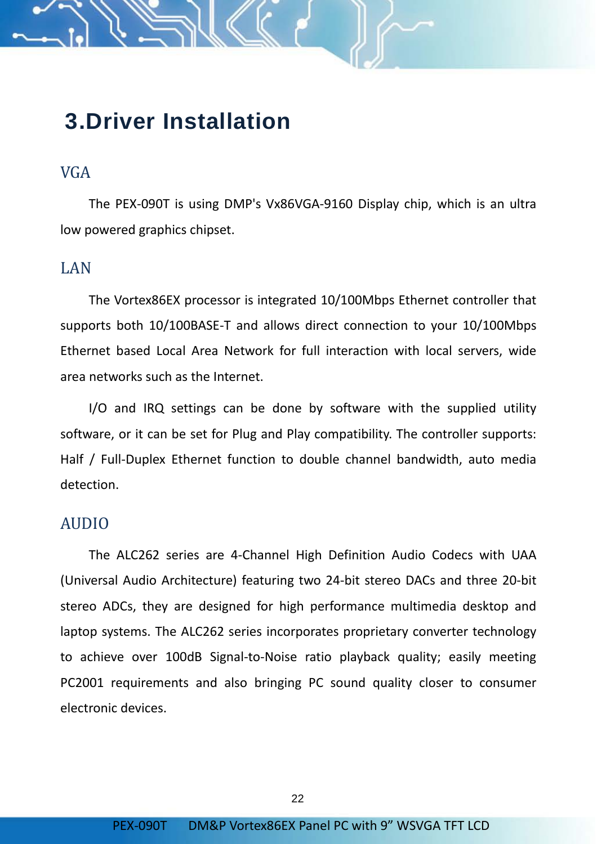# **3.Driver Installation**

#### VGA

The PEX-090T is using DMP's Vx86VGA-9160 Display chip, which is an ultra low powered graphics chipset.

#### LAN

The Vortex86EX processor is integrated 10/100Mbps Ethernet controller that supports both 10/100BASE-T and allows direct connection to your 10/100Mbps Ethernet based Local Area Network for full interaction with local servers, wide area networks such as the Internet.

I/O and IRQ settings can be done by software with the supplied utility software, or it can be set for Plug and Play compatibility. The controller supports: Half / Full-Duplex Ethernet function to double channel bandwidth, auto media detection.

#### AUDIO

The ALC262 series are 4-Channel High Definition Audio Codecs with UAA (Universal Audio Architecture) featuring two 24-bit stereo DACs and three 20-bit stereo ADCs, they are designed for high performance multimedia desktop and laptop systems. The ALC262 series incorporates proprietary converter technology to achieve over 100dB Signal-to-Noise ratio playback quality; easily meeting PC2001 requirements and also bringing PC sound quality closer to consumer electronic devices.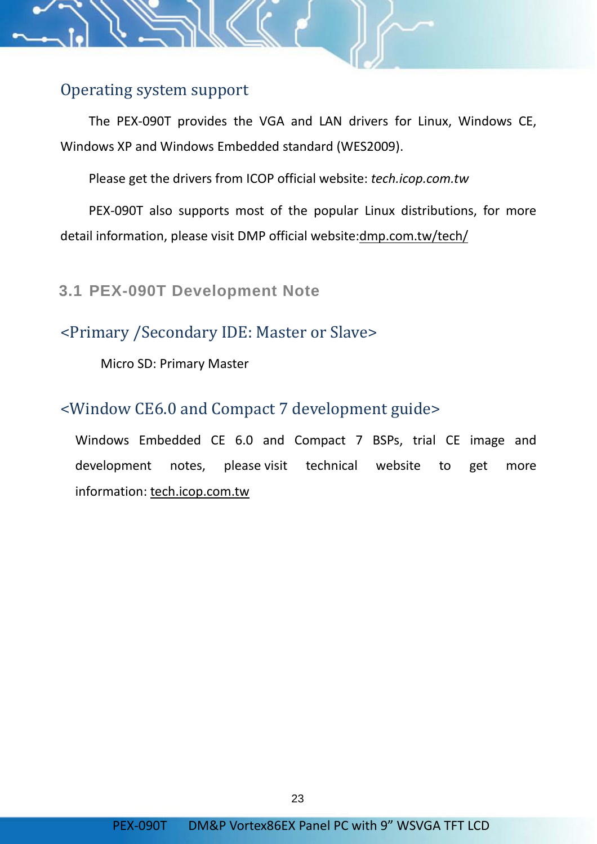#### Operating system support

The PEX-090T provides the VGA and LAN drivers for Linux, Windows CE, Windows XP and Windows Embedded standard (WES2009).

Please get the drivers from ICOP official website: *[tech.icop.com.tw](http://tech.icop.com.tw/)*

PEX-090T also supports most of the popular Linux distributions, for more detail information, please visit DMP official website: <u>dmp.com.tw/tech/</u>

#### **3.1 PEX-090T Development Note**

#### <Primary /Secondary IDE: Master or Slave>

Micro SD: Primary Master

#### <Window CE6.0 and Compact 7 development guide>

Windows Embedded CE 6.0 and Compact 7 BSPs, trial CE image and development notes, please visit technical website to get more information: tech.icop.com.tw